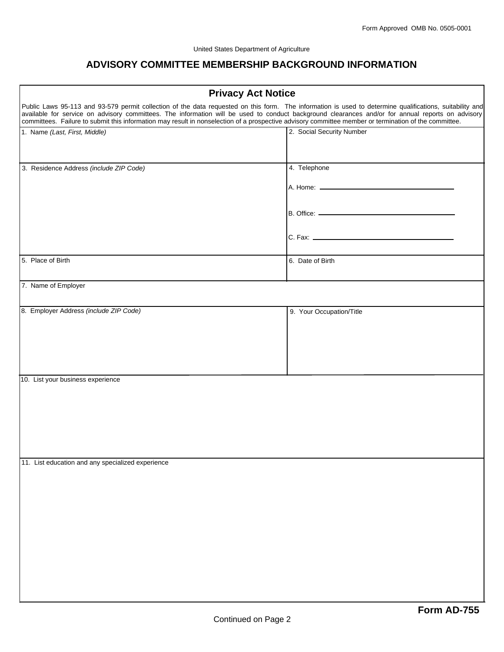## **ADVISORY COMMITTEE MEMBERSHIP BACKGROUND INFORMATION**

| <b>Privacy Act Notice</b>                                                                                                                                                                                                                                                                                                                                                                                                                                              |                           |
|------------------------------------------------------------------------------------------------------------------------------------------------------------------------------------------------------------------------------------------------------------------------------------------------------------------------------------------------------------------------------------------------------------------------------------------------------------------------|---------------------------|
| Public Laws 95-113 and 93-579 permit collection of the data requested on this form. The information is used to determine qualifications, suitability and<br>available for service on advisory committees. The information will be used to conduct background clearances and/or for annual reports on advisory<br>committees. Failure to submit this information may result in nonselection of a prospective advisory committee member or termination of the committee. |                           |
| 1. Name (Last, First, Middle)                                                                                                                                                                                                                                                                                                                                                                                                                                          | 2. Social Security Number |
| 3. Residence Address (include ZIP Code)                                                                                                                                                                                                                                                                                                                                                                                                                                | 4. Telephone              |
|                                                                                                                                                                                                                                                                                                                                                                                                                                                                        |                           |
|                                                                                                                                                                                                                                                                                                                                                                                                                                                                        |                           |
|                                                                                                                                                                                                                                                                                                                                                                                                                                                                        |                           |
| 5. Place of Birth                                                                                                                                                                                                                                                                                                                                                                                                                                                      | 6. Date of Birth          |
| 7. Name of Employer                                                                                                                                                                                                                                                                                                                                                                                                                                                    |                           |
| 8. Employer Address (include ZIP Code)                                                                                                                                                                                                                                                                                                                                                                                                                                 | 9. Your Occupation/Title  |
| 10. List your business experience                                                                                                                                                                                                                                                                                                                                                                                                                                      |                           |
| 11. List education and any specialized experience                                                                                                                                                                                                                                                                                                                                                                                                                      |                           |